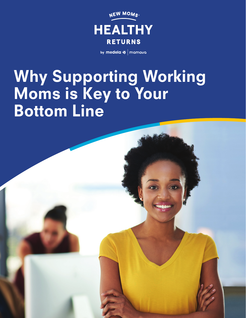

by medela  $\sqrt{ }$  mamava

# Why Supporting Working Moms is Key to Your Bottom Line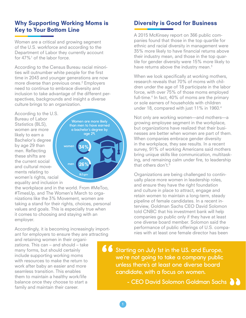#### Why Supporting Working Moms is Key to Your Bottom Line

Women are a critical and growing segment of the U.S. workforce and according to the Department of Labor they currently account<br>for 47%<sup>1</sup> of the labor force. for 47%<sup>1</sup> of the labor force.

According to the Census Bureau racial minorirecording to the concast baread radial minorities will outnumber white people for the first time in 2043 and younger generations are now more diverse than previous ones.<sup>2</sup> Employers need to continue to embrace diversity and inclusion to take advantage of the different perspectives, backgrounds and insight a diverse culture brings to an organization.

According to the U.S. Bureau of Labor Statistics (BLS), women are more likely to earn a Bachelor's degree by age 29 than men. Reflecting these shifts are the current social and cultural movements relating to women's rights, racial equality and inclusion in

Women are more likely than men to have earned a bachelor's degree by age 29. 34% 26% women men BLS.gov

the workplace and in the world. From #MeToo, #TimesUp, and The Women's March to organizations like the 3% Movement, women are taking a stand for their rights, choices, personal values and goals. This is especially true when it comes to choosing and staying with an employer.

Accordingly, it is becoming increasingly important for employers to ensure they are attracting

and retaining women in their organizations. This can – and should – take many forms, but should certainly include supporting working moms with resources to make the return to work after baby an easier and more seamless transition. This enables them to maintain a healthy work/life balance once they choose to start a family and maintain their career.

#### **Diversity is Good for Business** complete formulation  $\epsilon$

A 2015 McKinsey report on 366 public companies found that those in the top quartile for ethnic and racial diversity in management were 35% more likely to have financial returns above their industry mean, and those in the top quartile for gender diversity were 15% more likely to have returns above the industry mean.<sup>3</sup> to do better:

When we look specifically at working mothers, research reveals that 70% of moms with children under the age of 18 participate in the labor force, with over 75% of those moms employed full-time.<sup>4</sup> In fact, 40% of moms are the primary or sole earners of households with children under 18, compared with just 11% in 1960.<sup>4</sup>

Not only are working women—and mothers—a growing employee segment in the workplace, but organizations have realized that their businesses are better when women are part of them. When companies embrace gender diversity in the workplace, they see results. In a recent survey, 91% of working Americans said mothers bring unique skills like communication, multitasking, and remaining calm under fire, to leadership that others don't.<sup>5</sup> n companies embrace omers don t.° ployee<br>ations<br>better<br>panies<br>of wc<br>e skills<br>maining

Organizations are being challenged to continually place more women in leadership roles, and ensure they have the right foundation and culture in place to attract, engage and retain women to maintain a long-term, steady pipeline of female candidates. In a recent interview, Goldman Sachs CEO David Solomon told CNBC that his investment bank will help companies go public only if they have at least one diverse board member. Solomon said the performance of public offerings of U.S. companies with at least one female director has been

" Starting on July 1st in the U.S. and Europe, we're not going to take a company public unless there's at least one diverse board candidate, with a focus on women.

1

**Example 2 - CEO David Solomon Goldman Sachs**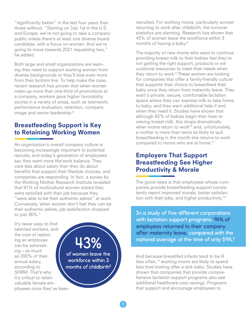"significantly better" in the last four years than those without. "Starting on July 1st in the U.S. and Europe, we're not going to take a company public unless there's at least one diverse board candidate, with a focus on women. And we're going to move towards 2021 requesting two," he added.

Both large and small organizations are learning they need to support working women from diverse backgrounds or they'll lose even more from their bottom line. To help make the case, recent research has proven that when women make up more than one-third of promotions at a company, workers gave higher favorability scores in a variety of areas, such as teamwork, performance evaluation, retention, company image and senior leadership.<sup>6</sup>

## Breastfeeding Support is Key to Retaining Working Women

An organization's overall company culture is becoming increasingly important to potential recruits, and today's generation of employees say they want more life/work balance. They care less about salary than they do about benefits that support their lifestyle choices, and companies are responding. In fact, a survey by the Working Mother Research Institute revealed that 91% of multicultural women stated they were satisfied with their job because they "were able to be their authentic selves" at work. Conversely, when women don't feel they can be their authentic selves, job satisfaction dropped to just 36%.7

It's never easy to find talented workers, and the cost of replacing an employee can be astonishing – as much as 200% of their annual salary, according to SHRM. That's why it's critical to retain valuable female employees once they've been

43% of women leave the workforce within 3 months of childbirth<sup>8</sup> recruited. For working moms, particularly women returning to work after childbirth, the turnover statistics are alarming. Research has shown that 43% of women leave the workforce within 3 months of having a baby.<sup>8</sup>

The majority of new moms who want to continue providing breast milk to their babies feel they're not getting the right support, products or educational resources to meet their needs when they return to work.<sup>9</sup> These women are looking for companies that offer a family-friendly culture that supports their choice to breastfeed their baby once they return from maternity leave. They want a private, secure, comfortable lactation space where they can express milk to take home to baby, and they want additional help if and when they need it. Studies have shown that although 83% of babies begin their lives receiving breast milk, this drops dramatically when moms return to work $10$  and, unfortunately, a mother is more than twice as likely to quit breastfeeding in the month she returns to work compared to moms who are at home.<sup>11</sup>

## Employers That Support Breastfeeding See Higher Productivity & Morale

The good news is that employees whose companies provide breastfeeding support consistently report improved morale, better satisfaction with their jobs, and higher productivity.<sup>12</sup>

In a study of five different corporations International to their company employees returned to their company national average at the time of only 59%. $^8$ with lactation support programs, 94% of after maternity leave, compared with the

complicated for employers

And because breastfed infants tend to be ill less often,<sup>13</sup> working moms are likely to spend less time looking after a sick baby. Studies have shown that companies that provide compreme the matrice expenses and process comprehensive lactation support programs also see additional healthcare cost savings. Programs additional nealthcare cost savings. Prograr<br>that support and encourage employees to se breastfed infants tend to be ill Employees mat support and encourage employees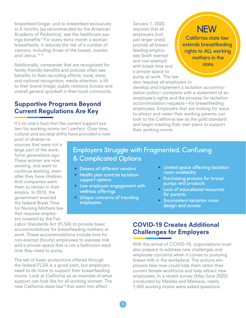breastfeed longer, and to breastfeed exclusively to 6 months (as recommended by the American Academy of Pediatrics), see the healthcare savings benefits<sup>9</sup> For every extra month a woman breastfeeds, it reduces the risk of a number of cancers, including those of the breast, ovaries and uterus.14,15

Additionally, companies that are recognized for family-friendly benefits and policies often see benefits to their recruiting efforts; local, state, and national recognition; media attention; a lift to their brand image; public relations boosts and overall general goodwill in their local community.

## Supportive Programs Beyond Current Regulations Are Key

It's no one's fault that the current support system for working moms isn't perfect. Over time, cultural and societal shifts have provided a new January 1, 2020, requires that all employers (not just larger ones) provide all breastfeeding employees (both exempt and non-exempt) with break time and a private space to pump at work. The law

**NEW** California state law

extends breastfeeding rights to ALL working mothers in the state.

of employees

also requires all employers to develop and implement a lactation accommodation policy—complete with a statement of an employee's rights and the process for lactation<br>accommodation requests—for breastfeeding accommodation requests—for breastfeeding employees. Employers that are looking for ways to attract and retain their working parents can look to the California law as the gold standard and begin creating their own plans to support their working moms.

pool of diverse resources that were not a large part of the workforce generations ago. These women are now working, and want to continue working, even after they have children. And companies want them to remain in their employ. In 2010, the government enacted the federal Break Time for Nursing Mothers law that requires employers covered by the Fair

# Employers Struggle with Fragmented, Confusing & Complicated Options

- Dozens of different vendors
- Health plan controls lactation support options
- Low employee engagement with wellness offerings
- Unique concerns of traveling employees
- Limited space affecting lactation room availability
- Purchasing process for breast pumps and products
- Lack of educational resources for parents
- Inconsistent lactation room design and access

Labor Standards Act (FLSA) to provide basic  $\frac{2200 \text{ N}}{2}$  breastfeeding mothers at  $\frac{1}{2}$   $\frac{1}{2}$   $\frac{1}{2}$   $\frac{1}{2}$   $\frac{1}{2}$  accommodations for breastfeeding mothers at work. These accommodations include time for **Confusing Confusing Confusion** non-exempt (hourly) employees to express milk and a private space that is not a bathroom each  $\rm v$ time they need to pump.

The set of basic protections offered through **the set of basic protections offered** through the federal FLSA is a good start, but employers need to do more to support their breastfeeding entity current female moms. Look at California as an example of what employees. support can look like for all working women. The new California state law16 that went into effect

## COVID-19 Creates Additional Challenges for Employers

With the arrival of COVID-19, organizations must also prepare to address new challenges and also prepare to address new chaneliges and<br>employee concerns when it comes to pumping breast milk in the workplace. The actions employers take now could help them retain their current female workforce and help attract new employees. In a recent survey (May-June 2020) conducted by Medela and Mamava, nearly t went into effect 1,400 working moms were asked questions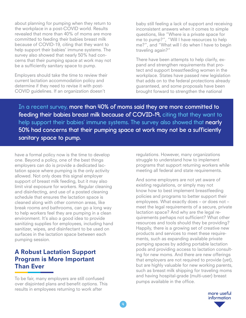about planning for pumping when they return to the workplace in a post-COVID world. Results revealed that more than 40% of moms are more committed to feeding their babies breast milk because of COVID-19, citing that they want to help support their babies' immune systems. The survey also showed that nearly 50% had concerns that their pumping space at work may not be a sufficiently sanitary space to pump.

Employers should take the time to review their current lactation accommodation policy and determine if they need to revise it with post-COVID guidelines. If an organization doesn't

baby still feeling a lack of support and receiving inconsistent answers when it comes to simple questions, like "Where is a private space for me to pump?", "Will I have resources to help me?", and "What will I do when I have to begin traveling again?"

There have been attempts to help clarify, expand and strengthen requirements that protect and support breastfeeding women in the workplace. States have passed new legislation that adds on to the federal protections already guaranteed, and some proposals have been brought forward to strengthen the national

In a recent survey, more than 40% of moms said they are more committed to feeding their babies breast milk because of COVID-19, citing that they want to help support their babies' immune systems. The survey also showed that nearly 50% had concerns that their pumping space at work may not be a sufficiently sanitary space to pump.

have a formal policy now is the time to develop one. Beyond a policy, one of the best things employers can do is provide a dedicated lactation space where pumping is the only activity allowed. Not only does this signal employer support of breast milk feeding, but it may also limit viral exposure for workers. Regular cleaning and disinfecting, and use of a posted cleaning schedule that ensures the lactation space is cleaned along with other common areas, like break rooms and bathrooms, can go a long way to help workers feel they are pumping in a clean environment. It's also a good idea to provide sanitizing supplies for employees, including hand sanitizer, wipes, and disinfectant to be used on surfaces in the lactation space between each pumping session.

# A Robust Lactation Support Program is More Important Than Ever

To be fair, many employers are still confused over disjointed plans and benefit options. This results in employees returning to work after

regulations. However, many organizations struggle to understand how to implement programs that support returning workers while meeting all federal and state requirements.

And some employers are not yet aware of existing regulations, or simply may not know how to best implement breastfeeding policies and programs to better support their employees. What exactly does – or does not – meet the legal requirements of a secure, private lactation space? And why are the legal requirements perhaps not sufficient? What other resources and tools should they be providing? Happily, there is a growing set of creative new products and services to meet these requirements, such as expanding available private pumping spaces by adding portable lactation pods and providing access to lactation consulting for new moms. And there are new offerings that employers are not required to provide (yet), but are highly valuable for new working parents, such as breast milk shipping for traveling moms and having hospital-grade (multi-user) breast pumps available in the office.